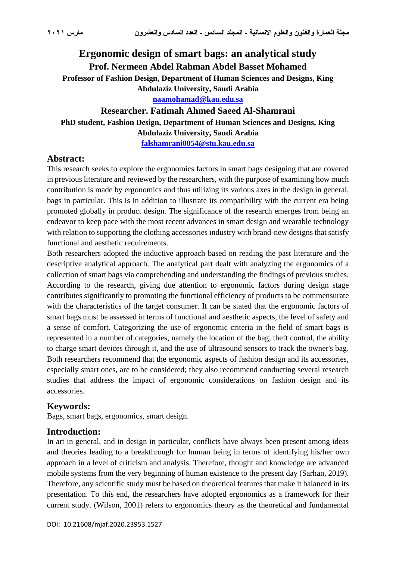# **Ergonomic design of smart bags: an analytical study Prof. Nermeen Abdel Rahman Abdel Basset Mohamed Professor of Fashion Design, Department of Human Sciences and Designs, King Abdulaziz University, Saudi Arabia [naamohamad@kau.edu.sa](mailto:naamohamad@kau.edu.sa) Researcher. Fatimah Ahmed Saeed Al-Shamrani**

## **PhD student, Fashion Design, Department of Human Sciences and Designs, King Abdulaziz University, Saudi Arabia [falshamrani0054@stu.kau.edu.sa](mailto:falshamrani0054@stu.kau.edu.sa)**

## **Abstract:**

This research seeks to explore the ergonomics factors in smart bags designing that are covered in previous literature and reviewed by the researchers, with the purpose of examining how much contribution is made by ergonomics and thus utilizing its various axes in the design in general, bags in particular. This is in addition to illustrate its compatibility with the current era being promoted globally in product design. The significance of the research emerges from being an endeavor to keep pace with the most recent advances in smart design and wearable technology with relation to supporting the clothing accessories industry with brand-new designs that satisfy functional and aesthetic requirements.

Both researchers adopted the inductive approach based on reading the past literature and the descriptive analytical approach. The analytical part dealt with analyzing the ergonomics of a collection of smart bags via comprehending and understanding the findings of previous studies. According to the research, giving due attention to ergonomic factors during design stage contributes significantly to promoting the functional efficiency of products to be commensurate with the characteristics of the target consumer. It can be stated that the ergonomic factors of smart bags must be assessed in terms of functional and aesthetic aspects, the level of safety and a sense of comfort. Categorizing the use of ergonomic criteria in the field of smart bags is represented in a number of categories, namely the location of the bag, theft control, the ability to charge smart devices through it, and the use of ultrasound sensors to track the owner's bag. Both researchers recommend that the ergonomic aspects of fashion design and its accessories, especially smart ones, are to be considered; they also recommend conducting several research studies that address the impact of ergonomic considerations on fashion design and its accessories.

### **Keywords:**

Bags, smart bags, ergonomics, smart design.

#### **Introduction:**

In art in general, and in design in particular, conflicts have always been present among ideas and theories leading to a breakthrough for human being in terms of identifying his/her own approach in a level of criticism and analysis. Therefore, thought and knowledge are advanced mobile systems from the very beginning of human existence to the present day (Sarhan, 2019). Therefore, any scientific study must be based on theoretical features that make it balanced in its presentation. To this end, the researchers have adopted ergonomics as a framework for their current study. (Wilson, 2001) refers to ergonomics theory as the theoretical and fundamental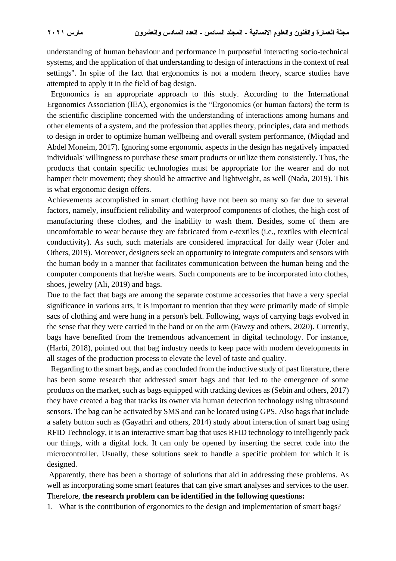understanding of human behaviour and performance in purposeful interacting socio-technical systems, and the application of that understanding to design of interactions in the context of real settings". In spite of the fact that ergonomics is not a modern theory, scarce studies have attempted to apply it in the field of bag design.

 Ergonomics is an appropriate approach to this study. According to the International Ergonomics Association (IEA), ergonomics is the "Ergonomics (or human factors) the term is the scientific discipline concerned with the understanding of interactions among humans and other elements of a system, and the profession that applies theory, principles, data and methods to design in order to optimize human wellbeing and overall system performance, (Miqdad and Abdel Moneim, 2017). Ignoring some ergonomic aspects in the design has negatively impacted individuals' willingness to purchase these smart products or utilize them consistently. Thus, the products that contain specific technologies must be appropriate for the wearer and do not hamper their movement; they should be attractive and lightweight, as well (Nada, 2019). This is what ergonomic design offers.

Achievements accomplished in smart clothing have not been so many so far due to several factors, namely, insufficient reliability and waterproof components of clothes, the high cost of manufacturing these clothes, and the inability to wash them. Besides, some of them are uncomfortable to wear because they are fabricated from e-textiles (i.e., textiles with electrical conductivity). As such, such materials are considered impractical for daily wear (Joler and Others, 2019). Moreover, designers seek an opportunity to integrate computers and sensors with the human body in a manner that facilitates communication between the human being and the computer components that he/she wears. Such components are to be incorporated into clothes, shoes, jewelry (Ali, 2019) and bags.

Due to the fact that bags are among the separate costume accessories that have a very special significance in various arts, it is important to mention that they were primarily made of simple sacs of clothing and were hung in a person's belt. Following, ways of carrying bags evolved in the sense that they were carried in the hand or on the arm (Fawzy and others, 2020). Currently, bags have benefited from the tremendous advancement in digital technology. For instance, (Harbi, 2018), pointed out that bag industry needs to keep pace with modern developments in all stages of the production process to elevate the level of taste and quality.

 Regarding to the smart bags, and as concluded from the inductive study of past literature, there has been some research that addressed smart bags and that led to the emergence of some products on the market, such as bags equipped with tracking devices as (Sebin and others, 2017) they have created a bag that tracks its owner via human detection technology using ultrasound sensors. The bag can be activated by SMS and can be located using GPS. Also bags that include a safety button such as (Gayathri and others, 2014) study about interaction of smart bag using RFID Technology, it is an interactive smart bag that uses RFID technology to intelligently pack our things, with a digital lock. It can only be opened by inserting the secret code into the microcontroller. Usually, these solutions seek to handle a specific problem for which it is designed.

Apparently, there has been a shortage of solutions that aid in addressing these problems. As well as incorporating some smart features that can give smart analyses and services to the user. Therefore, **the research problem can be identified in the following questions:**

1. What is the contribution of ergonomics to the design and implementation of smart bags?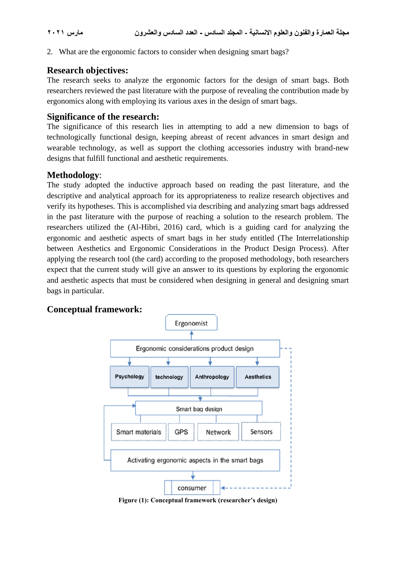2. What are the ergonomic factors to consider when designing smart bags?

### **Research objectives:**

The research seeks to analyze the ergonomic factors for the design of smart bags. Both researchers reviewed the past literature with the purpose of revealing the contribution made by ergonomics along with employing its various axes in the design of smart bags.

## **Significance of the research:**

The significance of this research lies in attempting to add a new dimension to bags of technologically functional design, keeping abreast of recent advances in smart design and wearable technology, as well as support the clothing accessories industry with brand-new designs that fulfill functional and aesthetic requirements.

## **Methodology**:

The study adopted the inductive approach based on reading the past literature, and the descriptive and analytical approach for its appropriateness to realize research objectives and verify its hypotheses. This is accomplished via describing and analyzing smart bags addressed in the past literature with the purpose of reaching a solution to the research problem. The researchers utilized the (Al-Hibri, 2016) card, which is a guiding card for analyzing the ergonomic and aesthetic aspects of smart bags in her study entitled (The Interrelationship between Aesthetics and Ergonomic Considerations in the Product Design Process). After applying the research tool (the card) according to the proposed methodology, both researchers expect that the current study will give an answer to its questions by exploring the ergonomic and aesthetic aspects that must be considered when designing in general and designing smart bags in particular.

## **Conceptual framework :**



**Figure (1): Conceptual framework (researcher's design)**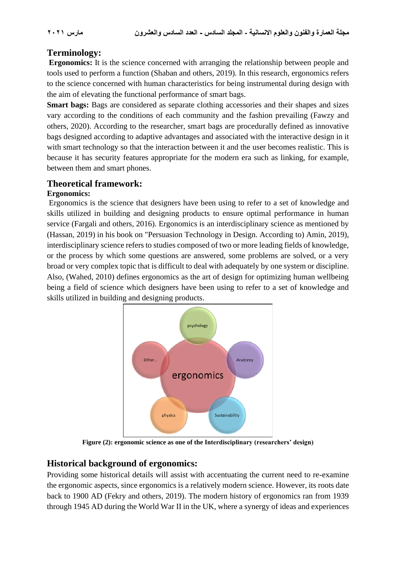## **Terminology:**

**Ergonomics:** It is the science concerned with arranging the relationship between people and tools used to perform a function (Shaban and others, 2019). In this research, ergonomics refers to the science concerned with human characteristics for being instrumental during design with the aim of elevating the functional performance of smart bags.

**Smart bags:** Bags are considered as separate clothing accessories and their shapes and sizes vary according to the conditions of each community and the fashion prevailing (Fawzy and others, 2020). According to the researcher, smart bags are procedurally defined as innovative bags designed according to adaptive advantages and associated with the interactive design in it with smart technology so that the interaction between it and the user becomes realistic. This is because it has security features appropriate for the modern era such as linking, for example, between them and smart phones.

### **Theoretical framework:**

#### **Ergonomics:**

Ergonomics is the science that designers have been using to refer to a set of knowledge and skills utilized in building and designing products to ensure optimal performance in human service (Fargali and others, 2016). Ergonomics is an interdisciplinary science as mentioned by (Hassan, 2019) in his book on "Persuasion Technology in Design. According to) Amin, 2019), interdisciplinary science refers to studies composed of two or more leading fields of knowledge, or the process by which some questions are answered, some problems are solved, or a very broad or very complex topic that is difficult to deal with adequately by one system or discipline. Also, (Wahed, 2010) defines ergonomics as the art of design for optimizing human wellbeing being a field of science which designers have been using to refer to a set of knowledge and skills utilized in building and designing products.



**Figure (2): ergonomic science as one of the Interdisciplinary (researchers' design)**

## **Historical background of ergonomics:**

Providing some historical details will assist with accentuating the current need to re-examine the ergonomic aspects, since ergonomics is a relatively modern science. However, its roots date back to 1900 AD (Fekry and others, 2019). The modern history of ergonomics ran from 1939 through 1945 AD during the World War II in the UK, where a synergy of ideas and experiences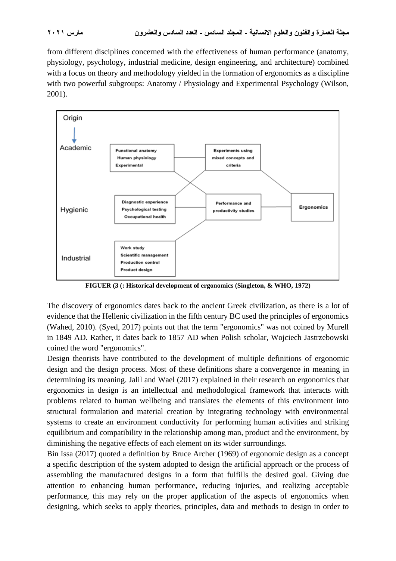from different disciplines concerned with the effectiveness of human performance (anatomy, physiology, psychology, industrial medicine, design engineering, and architecture) combined with a focus on theory and methodology yielded in the formation of ergonomics as a discipline with two powerful subgroups: Anatomy / Physiology and Experimental Psychology (Wilson, 2001).



**FIGUER (3 (: Historical development of ergonomics (Singleton, & WHO, 1972)**

The discovery of ergonomics dates back to the ancient Greek civilization, as there is a lot of evidence that the Hellenic civilization in the fifth century BC used the principles of ergonomics (Wahed, 2010). (Syed, 2017) points out that the term "ergonomics" was not coined by Murell in 1849 AD. Rather, it dates back to 1857 AD when Polish scholar, Wojciech Jastrzebowski coined the word "ergonomics".

Design theorists have contributed to the development of multiple definitions of ergonomic design and the design process. Most of these definitions share a convergence in meaning in determining its meaning. Jalil and Wael (2017) explained in their research on ergonomics that ergonomics in design is an intellectual and methodological framework that interacts with problems related to human wellbeing and translates the elements of this environment into structural formulation and material creation by integrating technology with environmental systems to create an environment conductivity for performing human activities and striking equilibrium and compatibility in the relationship among man, product and the environment, by diminishing the negative effects of each element on its wider surroundings.

Bin Issa (2017) quoted a definition by Bruce Archer (1969) of ergonomic design as a concept a specific description of the system adopted to design the artificial approach or the process of assembling the manufactured designs in a form that fulfills the desired goal. Giving due attention to enhancing human performance, reducing injuries, and realizing acceptable performance, this may rely on the proper application of the aspects of ergonomics when designing, which seeks to apply theories, principles, data and methods to design in order to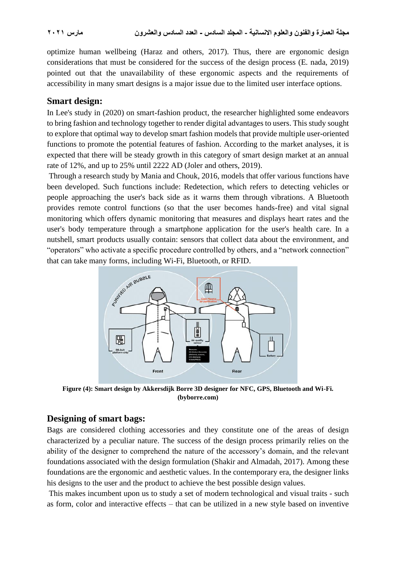optimize human wellbeing (Haraz and others, 2017). Thus, there are ergonomic design considerations that must be considered for the success of the design process (E. nada, 2019) pointed out that the unavailability of these ergonomic aspects and the requirements of accessibility in many smart designs is a major issue due to the limited user interface options.

#### **Smart design:**

In Lee's study in (2020) on smart-fashion product, the researcher highlighted some endeavors to bring fashion and technology together to render digital advantages to users. This study sought to explore that optimal way to develop smart fashion models that provide multiple user-oriented functions to promote the potential features of fashion. According to the market analyses, it is expected that there will be steady growth in this category of smart design market at an annual rate of 12%, and up to 25% until 2222 AD (Joler and others, 2019).

Through a research study by Mania and Chouk, 2016, models that offer various functions have been developed. Such functions include: Redetection, which refers to detecting vehicles or people approaching the user's back side as it warns them through vibrations. A Bluetooth provides remote control functions (so that the user becomes hands-free) and vital signal monitoring which offers dynamic monitoring that measures and displays heart rates and the user's body temperature through a smartphone application for the user's health care. In a nutshell, smart products usually contain: sensors that collect data about the environment, and "operators" who activate a specific procedure controlled by others, and a "network connection"



**Figure (4): Smart design by Akkersdijk Borre 3D designer for NFC, GPS, Bluetooth and Wi-Fi. (byborre.com)**

### **Designing of smart bags:**

Bags are considered clothing accessories and they constitute one of the areas of design characterized by a peculiar nature. The success of the design process primarily relies on the ability of the designer to comprehend the nature of the accessory's domain, and the relevant foundations associated with the design formulation (Shakir and Almadah, 2017). Among these foundations are the ergonomic and aesthetic values. In the contemporary era, the designer links his designs to the user and the product to achieve the best possible design values.

This makes incumbent upon us to study a set of modern technological and visual traits - such as form, color and interactive effects – that can be utilized in a new style based on inventive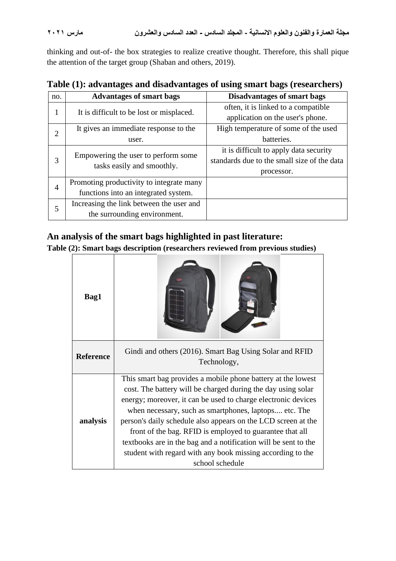thinking and out-of- the box strategies to realize creative thought. Therefore, this shall pique the attention of the target group (Shaban and others, 2019).

|  |  | Table (1): advantages and disadvantages of using smart bags (researchers) |
|--|--|---------------------------------------------------------------------------|
|  |  |                                                                           |

| no.            | <b>Advantages of smart bags</b>          | <b>Disadvantages of smart bags</b>          |
|----------------|------------------------------------------|---------------------------------------------|
| 1              |                                          | often, it is linked to a compatible         |
|                | It is difficult to be lost or misplaced. | application on the user's phone.            |
| $\overline{2}$ | It gives an immediate response to the    | High temperature of some of the used        |
|                | user.                                    | batteries.                                  |
| 3              | Empowering the user to perform some      | it is difficult to apply data security      |
|                | tasks easily and smoothly.               | standards due to the small size of the data |
|                |                                          | processor.                                  |
| $\overline{4}$ | Promoting productivity to integrate many |                                             |
|                | functions into an integrated system.     |                                             |
| 5              | Increasing the link between the user and |                                             |
|                | the surrounding environment.             |                                             |

## **An analysis of the smart bags highlighted in past literature:**

**Table (2): Smart bags description (researchers reviewed from previous studies)**

| Bag1             |                                                                                                                                                                                                                                                                                                                                                                                                                                                                                                                                         |  |  |  |  |  |
|------------------|-----------------------------------------------------------------------------------------------------------------------------------------------------------------------------------------------------------------------------------------------------------------------------------------------------------------------------------------------------------------------------------------------------------------------------------------------------------------------------------------------------------------------------------------|--|--|--|--|--|
| <b>Reference</b> | Gindi and others (2016). Smart Bag Using Solar and RFID<br>Technology,                                                                                                                                                                                                                                                                                                                                                                                                                                                                  |  |  |  |  |  |
| analysis         | This smart bag provides a mobile phone battery at the lowest<br>cost. The battery will be charged during the day using solar<br>energy; moreover, it can be used to charge electronic devices<br>when necessary, such as smartphones, laptops etc. The<br>person's daily schedule also appears on the LCD screen at the<br>front of the bag. RFID is employed to guarantee that all<br>textbooks are in the bag and a notification will be sent to the<br>student with regard with any book missing according to the<br>school schedule |  |  |  |  |  |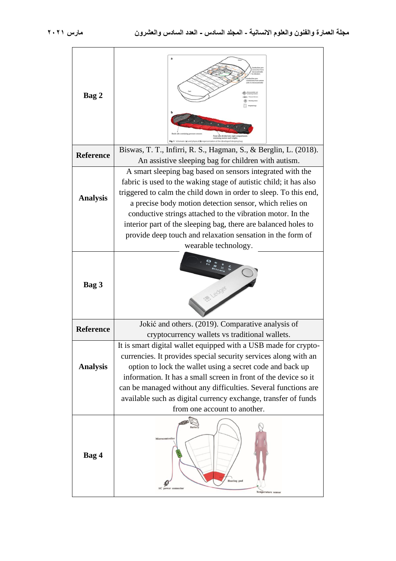| Bag 2            |                                                                                                                                                                                                                                                                                                                                                                                                                                       |
|------------------|---------------------------------------------------------------------------------------------------------------------------------------------------------------------------------------------------------------------------------------------------------------------------------------------------------------------------------------------------------------------------------------------------------------------------------------|
| <b>Reference</b> | Biswas, T. T., Infirri, R. S., Hagman, S., & Berglin, L. (2018).<br>An assistive sleeping bag for children with autism.                                                                                                                                                                                                                                                                                                               |
| <b>Analysis</b>  | A smart sleeping bag based on sensors integrated with the<br>fabric is used to the waking stage of autistic child; it has also<br>triggered to calm the child down in order to sleep. To this end,<br>a precise body motion detection sensor, which relies on<br>conductive strings attached to the vibration motor. In the<br>interior part of the sleeping bag, there are balanced holes to                                         |
|                  | provide deep touch and relaxation sensation in the form of<br>wearable technology.                                                                                                                                                                                                                                                                                                                                                    |
| Bag 3            |                                                                                                                                                                                                                                                                                                                                                                                                                                       |
| <b>Reference</b> | Jokić and others. (2019). Comparative analysis of<br>cryptocurrency wallets vs traditional wallets.                                                                                                                                                                                                                                                                                                                                   |
| <b>Analysis</b>  | It is smart digital wallet equipped with a USB made for crypto<br>currencies. It provides special security services along with an<br>option to lock the wallet using a secret code and back up<br>information. It has a small screen in front of the device so it<br>can be managed without any difficulties. Several functions are<br>available such as digital currency exchange, transfer of funds<br>from one account to another. |
| Bag 4            | Battery<br>Microcontroller<br><b>Heating</b> pad<br>power connector<br><b>Temperature</b> sensor                                                                                                                                                                                                                                                                                                                                      |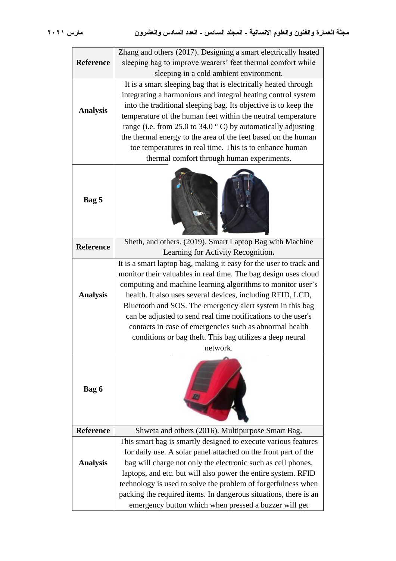|                  | Zhang and others (2017). Designing a smart electrically heated        |  |  |  |  |  |
|------------------|-----------------------------------------------------------------------|--|--|--|--|--|
| <b>Reference</b> | sleeping bag to improve wearers' feet thermal comfort while           |  |  |  |  |  |
|                  | sleeping in a cold ambient environment.                               |  |  |  |  |  |
|                  | It is a smart sleeping bag that is electrically heated through        |  |  |  |  |  |
|                  | integrating a harmonious and integral heating control system          |  |  |  |  |  |
|                  | into the traditional sleeping bag. Its objective is to keep the       |  |  |  |  |  |
| <b>Analysis</b>  | temperature of the human feet within the neutral temperature          |  |  |  |  |  |
|                  | range (i.e. from 25.0 to 34.0 $\degree$ C) by automatically adjusting |  |  |  |  |  |
|                  | the thermal energy to the area of the feet based on the human         |  |  |  |  |  |
|                  | toe temperatures in real time. This is to enhance human               |  |  |  |  |  |
|                  | thermal comfort through human experiments.                            |  |  |  |  |  |
| Bag 5            |                                                                       |  |  |  |  |  |
|                  | Sheth, and others. (2019). Smart Laptop Bag with Machine              |  |  |  |  |  |
| <b>Reference</b> | Learning for Activity Recognition.                                    |  |  |  |  |  |
|                  | It is a smart laptop bag, making it easy for the user to track and    |  |  |  |  |  |
|                  | monitor their valuables in real time. The bag design uses cloud       |  |  |  |  |  |
|                  | computing and machine learning algorithms to monitor user's           |  |  |  |  |  |
| <b>Analysis</b>  | health. It also uses several devices, including RFID, LCD,            |  |  |  |  |  |
|                  | Bluetooth and SOS. The emergency alert system in this bag             |  |  |  |  |  |
|                  | can be adjusted to send real time notifications to the user's         |  |  |  |  |  |
|                  | contacts in case of emergencies such as abnormal health               |  |  |  |  |  |
|                  | conditions or bag theft. This bag utilizes a deep neural              |  |  |  |  |  |
|                  | network.                                                              |  |  |  |  |  |
| Bag 6            |                                                                       |  |  |  |  |  |
| <b>Reference</b> | Shweta and others (2016). Multipurpose Smart Bag.                     |  |  |  |  |  |
|                  | This smart bag is smartly designed to execute various features        |  |  |  |  |  |
|                  | for daily use. A solar panel attached on the front part of the        |  |  |  |  |  |
| <b>Analysis</b>  | bag will charge not only the electronic such as cell phones,          |  |  |  |  |  |
|                  | laptops, and etc. but will also power the entire system. RFID         |  |  |  |  |  |
|                  | technology is used to solve the problem of forgetfulness when         |  |  |  |  |  |
|                  | packing the required items. In dangerous situations, there is an      |  |  |  |  |  |
|                  | emergency button which when pressed a buzzer will get                 |  |  |  |  |  |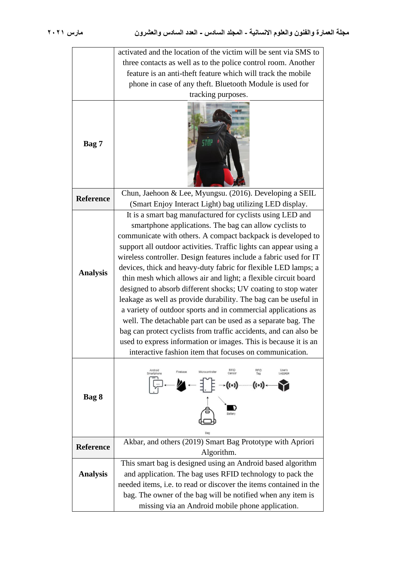|                  | activated and the location of the victim will be sent via SMS to                                                                    |  |  |  |  |  |  |  |  |
|------------------|-------------------------------------------------------------------------------------------------------------------------------------|--|--|--|--|--|--|--|--|
|                  | three contacts as well as to the police control room. Another                                                                       |  |  |  |  |  |  |  |  |
|                  | feature is an anti-theft feature which will track the mobile                                                                        |  |  |  |  |  |  |  |  |
|                  | phone in case of any theft. Bluetooth Module is used for                                                                            |  |  |  |  |  |  |  |  |
|                  | tracking purposes.                                                                                                                  |  |  |  |  |  |  |  |  |
|                  |                                                                                                                                     |  |  |  |  |  |  |  |  |
|                  |                                                                                                                                     |  |  |  |  |  |  |  |  |
|                  |                                                                                                                                     |  |  |  |  |  |  |  |  |
|                  |                                                                                                                                     |  |  |  |  |  |  |  |  |
| Bag 7            |                                                                                                                                     |  |  |  |  |  |  |  |  |
|                  |                                                                                                                                     |  |  |  |  |  |  |  |  |
|                  |                                                                                                                                     |  |  |  |  |  |  |  |  |
|                  |                                                                                                                                     |  |  |  |  |  |  |  |  |
| <b>Reference</b> | Chun, Jaehoon & Lee, Myungsu. (2016). Developing a SEIL                                                                             |  |  |  |  |  |  |  |  |
|                  | (Smart Enjoy Interact Light) bag utilizing LED display.                                                                             |  |  |  |  |  |  |  |  |
|                  | It is a smart bag manufactured for cyclists using LED and                                                                           |  |  |  |  |  |  |  |  |
|                  | smartphone applications. The bag can allow cyclists to                                                                              |  |  |  |  |  |  |  |  |
|                  | communicate with others. A compact backpack is developed to                                                                         |  |  |  |  |  |  |  |  |
|                  | support all outdoor activities. Traffic lights can appear using a                                                                   |  |  |  |  |  |  |  |  |
|                  | wireless controller. Design features include a fabric used for IT                                                                   |  |  |  |  |  |  |  |  |
| <b>Analysis</b>  | devices, thick and heavy-duty fabric for flexible LED lamps; a                                                                      |  |  |  |  |  |  |  |  |
|                  | thin mesh which allows air and light; a flexible circuit board                                                                      |  |  |  |  |  |  |  |  |
|                  | designed to absorb different shocks; UV coating to stop water                                                                       |  |  |  |  |  |  |  |  |
|                  | leakage as well as provide durability. The bag can be useful in                                                                     |  |  |  |  |  |  |  |  |
|                  | a variety of outdoor sports and in commercial applications as                                                                       |  |  |  |  |  |  |  |  |
|                  | well. The detachable part can be used as a separate bag. The                                                                        |  |  |  |  |  |  |  |  |
|                  | bag can protect cyclists from traffic accidents, and can also be<br>used to express information or images. This is because it is an |  |  |  |  |  |  |  |  |
|                  | interactive fashion item that focuses on communication.                                                                             |  |  |  |  |  |  |  |  |
|                  |                                                                                                                                     |  |  |  |  |  |  |  |  |
|                  | Android<br><b>RFID</b><br>RFID<br>User's<br>Firebase<br>Microcontrolle<br>Smartphon<br>Luggage                                      |  |  |  |  |  |  |  |  |
|                  |                                                                                                                                     |  |  |  |  |  |  |  |  |
| Bag 8            |                                                                                                                                     |  |  |  |  |  |  |  |  |
|                  |                                                                                                                                     |  |  |  |  |  |  |  |  |
|                  |                                                                                                                                     |  |  |  |  |  |  |  |  |
|                  |                                                                                                                                     |  |  |  |  |  |  |  |  |
|                  | Akbar, and others (2019) Smart Bag Prototype with Apriori                                                                           |  |  |  |  |  |  |  |  |
| <b>Reference</b> | Algorithm.                                                                                                                          |  |  |  |  |  |  |  |  |
|                  | This smart bag is designed using an Android based algorithm                                                                         |  |  |  |  |  |  |  |  |
| <b>Analysis</b>  | and application. The bag uses RFID technology to pack the                                                                           |  |  |  |  |  |  |  |  |
|                  | needed items, i.e. to read or discover the items contained in the                                                                   |  |  |  |  |  |  |  |  |
|                  | bag. The owner of the bag will be notified when any item is                                                                         |  |  |  |  |  |  |  |  |
|                  | missing via an Android mobile phone application.                                                                                    |  |  |  |  |  |  |  |  |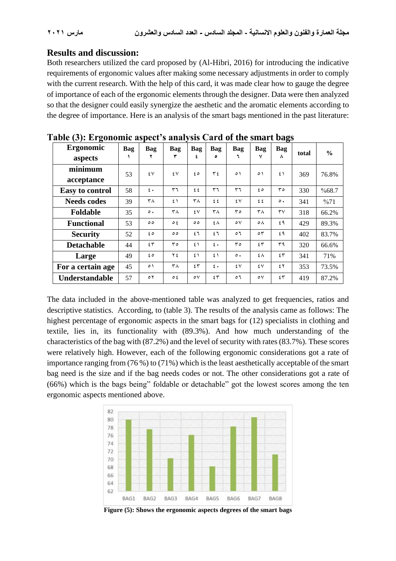#### **Results and discussion:**

Both researchers utilized the card proposed by (Al-Hibri, 2016) for introducing the indicative requirements of ergonomic values after making some necessary adjustments in order to comply with the current research. With the help of this card, it was made clear how to gauge the degree of importance of each of the ergonomic elements through the designer. Data were then analyzed so that the designer could easily synergize the aesthetic and the aromatic elements according to the degree of importance. Here is an analysis of the smart bags mentioned in the past literature:

| $\alpha$ and $\beta$ is the continuous applier in a marriage call as of the simular barge |     |                  |                |              |                  |                       |              |                        |       |               |
|-------------------------------------------------------------------------------------------|-----|------------------|----------------|--------------|------------------|-----------------------|--------------|------------------------|-------|---------------|
| Ergonomic                                                                                 | Bag | Bag              | Bag            | Bag          | Bag              | Bag                   | Bag          | Bag                    | total | $\frac{6}{6}$ |
| aspects                                                                                   |     |                  |                | ٤            | ٥                |                       | ٧            | ۸                      |       |               |
| minimum                                                                                   | 53  | ٤V               | ٤V             | ه ٤          | ع ۳              | $\circ$               | $\circ$      | $\mathfrak{t}$         | 369   | 76.8%         |
| acceptance                                                                                |     |                  |                |              |                  |                       |              |                        |       |               |
| <b>Easy to control</b>                                                                    | 58  | $\epsilon$ .     | ٣٦             | ٤٤           | ٣٦               | ٣٦                    | ه ٤          | $r \circ$              | 330   | %68.7         |
| <b>Needs codes</b>                                                                        | 39  | ۳۸               | $\mathfrak{t}$ | ۳٨           | ٤٤               | ٤٧                    | ٤٤           | $\circ$ .              | 341   | %71           |
| Foldable                                                                                  | 35  | $\circ$ .        | ٣٨             | ٤V           | ٣٨               | ۳٥                    | ۳۸           | $\mathsf{r}\mathsf{v}$ | 318   | 66.2%         |
| <b>Functional</b>                                                                         | 53  | $\circ$          | $\circ$ {      | $\circ$      | ٤٨               | $\circ \vee$          | ٥٨           | ٤٩                     | 429   | 89.3%         |
| <b>Security</b>                                                                           | 52  | ه ٤              | $\circ$        | ٤٦           | ٤٦               | $\circ$ $\mathcal{L}$ | $\circ$      | ٤٩                     | 402   | 83.7%         |
| <b>Detachable</b>                                                                         | 44  | 55               | $r \circ$      | 51           | $\mathfrak{c}$ . | $r \circ$             | 55           | ۳۹                     | 320   | 66.6%         |
| Large                                                                                     | 49  | ه ٤              | ۲٤             | $\epsilon$   | $\epsilon$       | $\circ$ .             | ٤٨           | 55                     | 341   | 71%           |
| For a certain age                                                                         | 45  | ٥١               | ۳۸             | ٤٣           | $\epsilon$ .     | ٤٧                    | ٤V           | ٤٢                     | 353   | 73.5%         |
| Understandable                                                                            | 57  | $\circ$ $\gamma$ | ع ہ            | $\circ \vee$ | ٤٣               | $\circ$               | $\circ \vee$ | 55                     | 419   | 87.2%         |

|  | Table (3): Ergonomic aspect's analysis Card of the smart bags |  |  |  |
|--|---------------------------------------------------------------|--|--|--|
|  |                                                               |  |  |  |

The data included in the above-mentioned table was analyzed to get frequencies, ratios and descriptive statistics. According, to (table 3). The results of the analysis came as follows: The highest percentage of ergonomic aspects in the smart bags for (12) specialists in clothing and textile, lies in, its functionality with (89.3%). And how much understanding of the characteristics of the bag with (87.2%) and the level of security with rates (83.7%). These scores were relatively high. However, each of the following ergonomic considerations got a rate of importance ranging from (76 %) to (71%) which is the least aesthetically acceptable of the smart bag need is the size and if the bag needs codes or not. The other considerations got a rate of (66%) which is the bags being" foldable or detachable" got the lowest scores among the ten ergonomic aspects mentioned above.



**Figure (5): Shows the ergonomic aspects degrees of the smart bags**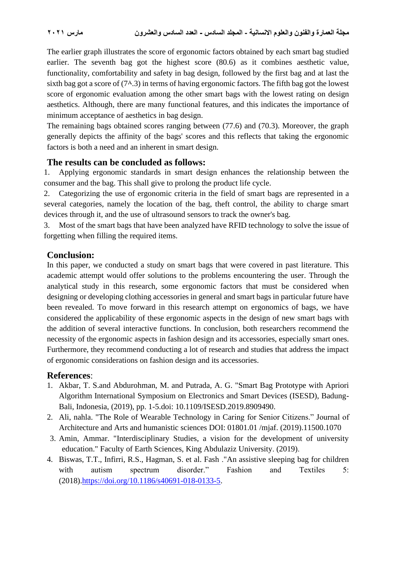The earlier graph illustrates the score of ergonomic factors obtained by each smart bag studied earlier. The seventh bag got the highest score (80.6) as it combines aesthetic value, functionality, comfortability and safety in bag design, followed by the first bag and at last the sixth bag got a score of  $(7<sup>A</sup>.3)$  in terms of having ergonomic factors. The fifth bag got the lowest score of ergonomic evaluation among the other smart bags with the lowest rating on design aesthetics. Although, there are many functional features, and this indicates the importance of minimum acceptance of aesthetics in bag design.

The remaining bags obtained scores ranging between (77.6) and (70.3). Moreover, the graph generally depicts the affinity of the bags' scores and this reflects that taking the ergonomic factors is both a need and an inherent in smart design.

### **The results can be concluded as follows:**

1. Applying ergonomic standards in smart design enhances the relationship between the consumer and the bag. This shall give to prolong the product life cycle.

2. Categorizing the use of ergonomic criteria in the field of smart bags are represented in a several categories, namely the location of the bag, theft control, the ability to charge smart devices through it, and the use of ultrasound sensors to track the owner's bag.

3. Most of the smart bags that have been analyzed have RFID technology to solve the issue of forgetting when filling the required items.

## **Conclusion:**

In this paper, we conducted a study on smart bags that were covered in past literature. This academic attempt would offer solutions to the problems encountering the user. Through the analytical study in this research, some ergonomic factors that must be considered when designing or developing clothing accessories in general and smart bags in particular future have been revealed. To move forward in this research attempt on ergonomics of bags, we have considered the applicability of these ergonomic aspects in the design of new smart bags with the addition of several interactive functions. In conclusion, both researchers recommend the necessity of the ergonomic aspects in fashion design and its accessories, especially smart ones. Furthermore, they recommend conducting a lot of research and studies that address the impact of ergonomic considerations on fashion design and its accessories.

### **References** :

- 1. Akbar, T. S.and Abdurohman, M. and Putrada, A. G. "Smart Bag Prototype with Apriori Algorithm International Symposium on Electronics and Smart Devices (ISESD), Badung-Bali, Indonesia, (2019), pp. 1-5.doi: 10.1109/ISESD.2019.8909490.
- 2. Ali, nahla. "The Role of Wearable Technology in Caring for Senior Citizens." Journal of Architecture and Arts and humanistic sciences DOI: 01801.01 /mjaf. (2019).11500.1070
- 3. Amin, Ammar. "Interdisciplinary Studies, a vision for the development of university education." Faculty of Earth Sciences, King Abdulaziz University. (2019) .
- 4. Biswas, T.T., Infirri, R.S., Hagman, S. et al. Fash ."An assistive sleeping bag for children with autism spectrum disorder." Fashion and Textiles 5: (2018)[.https://doi.org/10.1186/s40691-018-0133-5.](https://doi.org/10.1186/s40691-018-0133-5)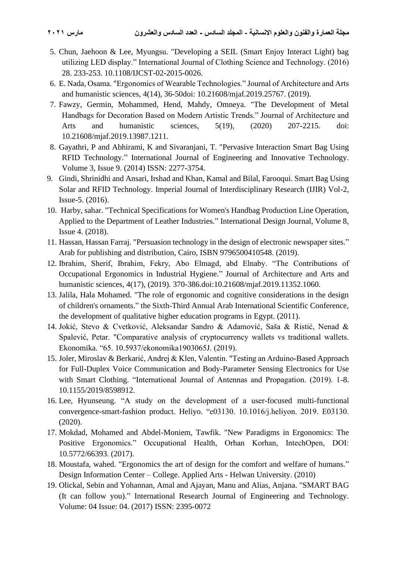- 5. Chun, Jaehoon & Lee, Myungsu. "Developing a SEIL (Smart Enjoy Interact Light) bag utilizing LED display." International Journal of Clothing Science and Technology. (2016) 28. 233-253. 10.1108/IJCST-02-2015-0026.
- 6. E. Nada, Osama. "Ergonomics of Wearable Technologies." Journal of Architecture and Arts and humanistic sciences, 4(14), 36-50doi: 10.21608/mjaf.2019.25767. (2019).
- 7. Fawzy, Germin, Mohammed, Hend, Mahdy, Omneya. "The Development of Metal Handbags for Decoration Based on Modern Artistic Trends." Journal of Architecture and Arts and humanistic sciences, 5(19), (2020) 207-2215. doi: 10.21608/mjaf.2019.13987.1211.
- 8. Gayathri, P and Abhirami, K and Sivaranjani, T. "Pervasive Interaction Smart Bag Using RFID Technology." International Journal of Engineering and Innovative Technology. Volume 3, Issue 9. (2014) ISSN: 2277-3754.
- 9. Gindi, Shrinidhi and Ansari, Irshad and Khan, Kamal and Bilal, Farooqui. Smart Bag Using Solar and RFID Technology. Imperial Journal of Interdisciplinary Research (IJIR) Vol-2, Issue-5. (2016).
- 10. Harby, sahar. "Technical Specifications for Women's Handbag Production Line Operation, Applied to the Department of Leather Industries. " International Design Journal, Volume 8, Issue 4. (2018).
- 11. Hassan, Hassan Farraj. "Persuasion technology in the design of electronic newspaper sites." Arab for publishing and distribution, Cairo, ISBN 9796500410548. (2019).
- 12. Ibrahim, Sherif, Ibrahim, Fekry, Abo Elmagd, abd Elnaby. "The Contributions of Occupational Ergonomics in Industrial Hygiene." Journal of Architecture and Arts and humanistic sciences, 4(17), (2019). 370-386.doi:10.21608/mjaf.2019.11352.1060.
- 13. Jalila, Hala Mohamed. "The role of ergonomic and cognitive considerations in the design of children's ornaments. " the Sixth-Third Annual Arab International Scientific Conference, the development of qualitative higher education programs in Egypt. (2011).
- 14. Jokić, Stevo & Cvetković, Aleksandar Sandro & Adamović, Saša & Ristić, Nenad & Spalević, Petar. "Comparative analysis of cryptocurrency wallets vs traditional wallets. Ekonomika. "65. 10.5937/ekonomika1903065J. (2019).
- 15. Joler, Miroslav & Berkarić, Andrej & Klen, Valentin. "Testing an Arduino-Based Approach for Full-Duplex Voice Communication and Body-Parameter Sensing Electronics for Use with Smart Clothing. "International Journal of Antennas and Propagation. (2019). 1-8. 10.1155/2019/8598912.
- 16. Lee, Hyunseung. "A study on the development of a user-focused multi-functional convergence-smart-fashion product. Heliyo. "e03130. 10.1016/j.heliyon. 2019. E03130. (2020).
- 17. Mokdad, Mohamed and Abdel-Moniem, Tawfik. "New Paradigms in Ergonomics: The Positive Ergonomics." Occupational Health, Orhan Korhan, IntechOpen, DOI: 10.5772/66393. (2017).
- 18. Moustafa, wahed. "Ergonomics the art of design for the comfort and welfare of humans." Design Information Center – College. Applied Arts - Helwan University. (2010)
- 19. Olickal, Sebin and Yohannan, Amal and Ajayan, Manu and Alias, Anjana. "SMART BAG (It can follow you)." International Research Journal of Engineering and Technology. Volume: 04 Issue: 04. (2017) ISSN: 2395-0072